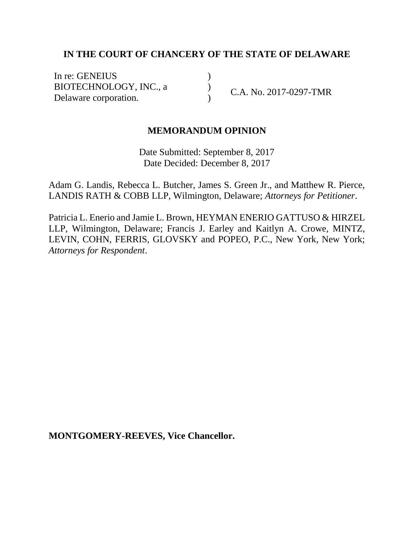# **IN THE COURT OF CHANCERY OF THE STATE OF DELAWARE**

) ) )

In re: GENEIUS BIOTECHNOLOGY, INC., a Delaware corporation.

C.A. No. 2017-0297-TMR

## **MEMORANDUM OPINION**

Date Submitted: September 8, 2017 Date Decided: December 8, 2017

Adam G. Landis, Rebecca L. Butcher, James S. Green Jr., and Matthew R. Pierce, LANDIS RATH & COBB LLP, Wilmington, Delaware; *Attorneys for Petitioner*.

Patricia L. Enerio and Jamie L. Brown, HEYMAN ENERIO GATTUSO & HIRZEL LLP, Wilmington, Delaware; Francis J. Earley and Kaitlyn A. Crowe, MINTZ, LEVIN, COHN, FERRIS, GLOVSKY and POPEO, P.C., New York, New York; *Attorneys for Respondent*.

**MONTGOMERY-REEVES, Vice Chancellor.**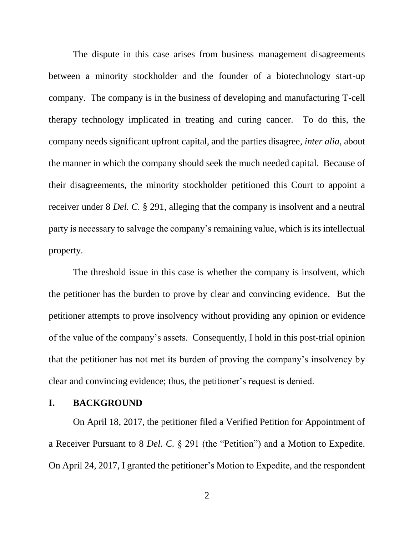The dispute in this case arises from business management disagreements between a minority stockholder and the founder of a biotechnology start-up company. The company is in the business of developing and manufacturing T-cell therapy technology implicated in treating and curing cancer. To do this, the company needs significant upfront capital, and the parties disagree, *inter alia*, about the manner in which the company should seek the much needed capital. Because of their disagreements, the minority stockholder petitioned this Court to appoint a receiver under 8 *Del. C.* § 291, alleging that the company is insolvent and a neutral party is necessary to salvage the company's remaining value, which is its intellectual property.

The threshold issue in this case is whether the company is insolvent, which the petitioner has the burden to prove by clear and convincing evidence. But the petitioner attempts to prove insolvency without providing any opinion or evidence of the value of the company's assets. Consequently, I hold in this post-trial opinion that the petitioner has not met its burden of proving the company's insolvency by clear and convincing evidence; thus, the petitioner's request is denied.

#### **I. BACKGROUND**

On April 18, 2017, the petitioner filed a Verified Petition for Appointment of a Receiver Pursuant to 8 *Del. C.* § 291 (the "Petition") and a Motion to Expedite. On April 24, 2017, I granted the petitioner's Motion to Expedite, and the respondent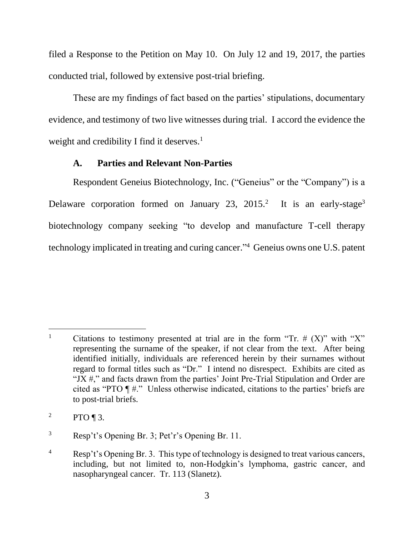filed a Response to the Petition on May 10. On July 12 and 19, 2017, the parties conducted trial, followed by extensive post-trial briefing.

These are my findings of fact based on the parties' stipulations, documentary evidence, and testimony of two live witnesses during trial. I accord the evidence the weight and credibility I find it deserves. $<sup>1</sup>$ </sup>

# **A. Parties and Relevant Non-Parties**

Respondent Geneius Biotechnology, Inc. ("Geneius" or the "Company") is a Delaware corporation formed on January 23, 2015.<sup>2</sup> It is an early-stage<sup>3</sup> biotechnology company seeking "to develop and manufacture T-cell therapy technology implicated in treating and curing cancer." 4 Geneius owns one U.S. patent

l <sup>1</sup> Citations to testimony presented at trial are in the form "Tr.  $# (X)$ " with "X" representing the surname of the speaker, if not clear from the text. After being identified initially, individuals are referenced herein by their surnames without regard to formal titles such as "Dr." I intend no disrespect. Exhibits are cited as "JX  $\#$ ," and facts drawn from the parties' Joint Pre-Trial Stipulation and Order are cited as "PTO ¶ #." Unless otherwise indicated, citations to the parties' briefs are to post-trial briefs.

<sup>&</sup>lt;sup>2</sup> PTO ¶ 3.

<sup>3</sup> Resp't's Opening Br. 3; Pet'r's Opening Br. 11.

<sup>4</sup> Resp't's Opening Br. 3. This type of technology is designed to treat various cancers, including, but not limited to, non-Hodgkin's lymphoma, gastric cancer, and nasopharyngeal cancer. Tr. 113 (Slanetz).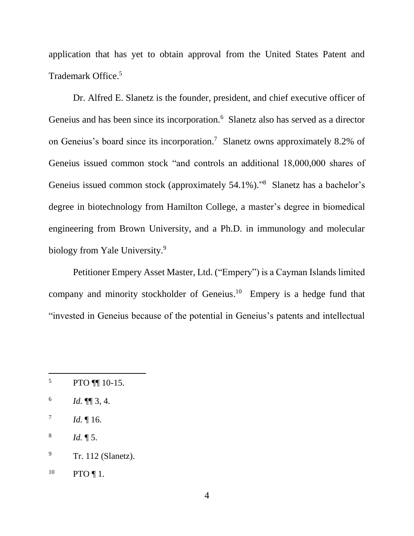application that has yet to obtain approval from the United States Patent and Trademark Office.<sup>5</sup>

Dr. Alfred E. Slanetz is the founder, president, and chief executive officer of Geneius and has been since its incorporation.<sup>6</sup> Slanetz also has served as a director on Geneius's board since its incorporation. 7 Slanetz owns approximately 8.2% of Geneius issued common stock "and controls an additional 18,000,000 shares of Geneius issued common stock (approximately 54.1%)."<sup>8</sup> Slanetz has a bachelor's degree in biotechnology from Hamilton College, a master's degree in biomedical engineering from Brown University, and a Ph.D. in immunology and molecular biology from Yale University.<sup>9</sup>

Petitioner Empery Asset Master, Ltd. ("Empery") is a Cayman Islands limited company and minority stockholder of Geneius.<sup>10</sup> Empery is a hedge fund that "invested in Geneius because of the potential in Geneius's patents and intellectual

 $5$  PTO  $\P$  10-15.

<sup>6</sup> *Id.* ¶¶ 3, 4.

<sup>7</sup> *Id.* ¶ 16.

<sup>8</sup> *Id.* ¶ 5.

<sup>&</sup>lt;sup>9</sup> Tr. 112 (Slanetz).

 $^{10}$  PTO ¶ 1.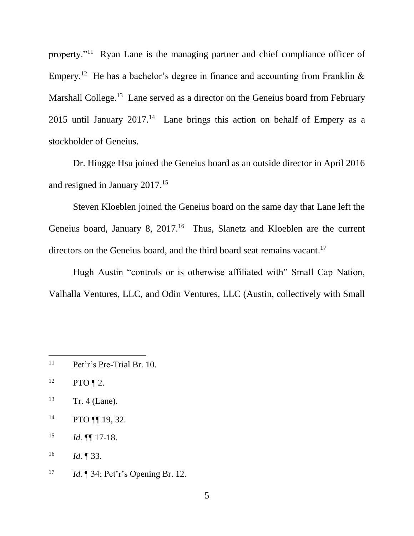property."<sup>11</sup> Ryan Lane is the managing partner and chief compliance officer of Empery.<sup>12</sup> He has a bachelor's degree in finance and accounting from Franklin & Marshall College.<sup>13</sup> Lane served as a director on the Geneius board from February 2015 until January  $2017<sup>14</sup>$  Lane brings this action on behalf of Empery as a stockholder of Geneius.

Dr. Hingge Hsu joined the Geneius board as an outside director in April 2016 and resigned in January 2017.<sup>15</sup>

Steven Kloeblen joined the Geneius board on the same day that Lane left the Geneius board, January 8,  $2017<sup>16</sup>$  Thus, Slanetz and Kloeblen are the current directors on the Geneius board, and the third board seat remains vacant.<sup>17</sup>

Hugh Austin "controls or is otherwise affiliated with" Small Cap Nation, Valhalla Ventures, LLC, and Odin Ventures, LLC (Austin, collectively with Small

 $\overline{a}$ 

14 PTO ¶ | 19, 32.

<sup>17</sup> *Id.* ¶ 34; Pet'r's Opening Br. 12.

<sup>11</sup> Pet'r's Pre-Trial Br. 10.

 $^{12}$  PTO ¶ 2.

 $13$  Tr. 4 (Lane).

<sup>15</sup> *Id.* ¶¶ 17-18.

<sup>16</sup> *Id.* ¶ 33.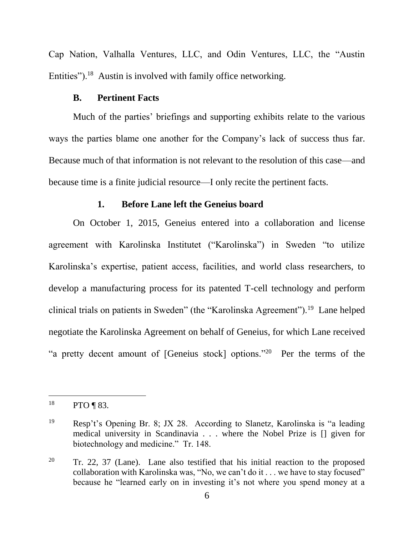Cap Nation, Valhalla Ventures, LLC, and Odin Ventures, LLC, the "Austin Entities").<sup>18</sup> Austin is involved with family office networking.

### **B. Pertinent Facts**

Much of the parties' briefings and supporting exhibits relate to the various ways the parties blame one another for the Company's lack of success thus far. Because much of that information is not relevant to the resolution of this case—and because time is a finite judicial resource—I only recite the pertinent facts.

#### **1. Before Lane left the Geneius board**

On October 1, 2015, Geneius entered into a collaboration and license agreement with Karolinska Institutet ("Karolinska") in Sweden "to utilize Karolinska's expertise, patient access, facilities, and world class researchers, to develop a manufacturing process for its patented T-cell technology and perform clinical trials on patients in Sweden" (the "Karolinska Agreement").<sup>19</sup> Lane helped negotiate the Karolinska Agreement on behalf of Geneius, for which Lane received "a pretty decent amount of [Geneius stock] options."<sup>20</sup> Per the terms of the

 $^{18}$  PTO ¶ 83.

<sup>19</sup> Resp't's Opening Br. 8; JX 28. According to Slanetz, Karolinska is "a leading medical university in Scandinavia . . . where the Nobel Prize is [] given for biotechnology and medicine." Tr. 148.

 $20$  Tr. 22, 37 (Lane). Lane also testified that his initial reaction to the proposed collaboration with Karolinska was, "No, we can't do it . . . we have to stay focused" because he "learned early on in investing it's not where you spend money at a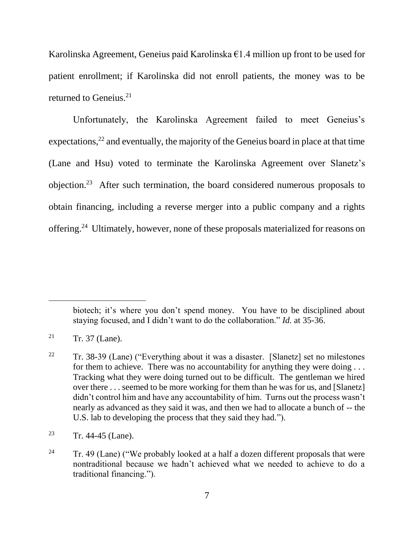Karolinska Agreement, Geneius paid Karolinska  $\epsilon$ 1.4 million up front to be used for patient enrollment; if Karolinska did not enroll patients, the money was to be returned to Geneius.<sup>21</sup>

Unfortunately, the Karolinska Agreement failed to meet Geneius's expectations,  $22$  and eventually, the majority of the Geneius board in place at that time (Lane and Hsu) voted to terminate the Karolinska Agreement over Slanetz's objection.<sup>23</sup> After such termination, the board considered numerous proposals to obtain financing, including a reverse merger into a public company and a rights offering.<sup>24</sup> Ultimately, however, none of these proposals materialized for reasons on

biotech; it's where you don't spend money. You have to be disciplined about staying focused, and I didn't want to do the collaboration." *Id.* at 35-36.

<sup>&</sup>lt;sup>21</sup> Tr. 37 (Lane).

<sup>&</sup>lt;sup>22</sup> Tr. 38-39 (Lane) ("Everything about it was a disaster. [Slanetz] set no milestones for them to achieve. There was no accountability for anything they were doing . . . Tracking what they were doing turned out to be difficult. The gentleman we hired over there . . . seemed to be more working for them than he was for us, and [Slanetz] didn't control him and have any accountability of him. Turns out the process wasn't nearly as advanced as they said it was, and then we had to allocate a bunch of -- the U.S. lab to developing the process that they said they had.").

<sup>23</sup> Tr. 44-45 (Lane).

<sup>&</sup>lt;sup>24</sup> Tr. 49 (Lane) ("We probably looked at a half a dozen different proposals that were nontraditional because we hadn't achieved what we needed to achieve to do a traditional financing.").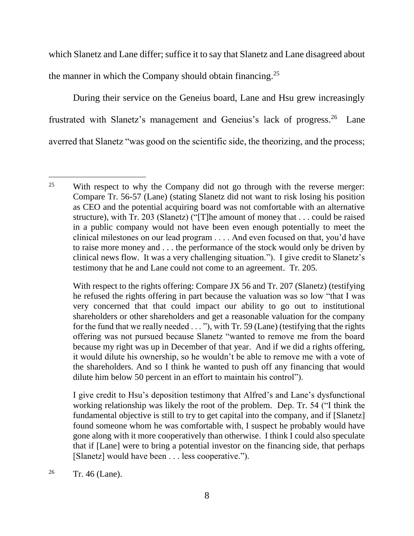which Slanetz and Lane differ; suffice it to say that Slanetz and Lane disagreed about the manner in which the Company should obtain financing.<sup>25</sup>

During their service on the Geneius board, Lane and Hsu grew increasingly frustrated with Slanetz's management and Geneius's lack of progress.<sup>26</sup> Lane averred that Slanetz "was good on the scientific side, the theorizing, and the process;

I give credit to Hsu's deposition testimony that Alfred's and Lane's dysfunctional working relationship was likely the root of the problem. Dep. Tr. 54 ("I think the fundamental objective is still to try to get capital into the company, and if [Slanetz] found someone whom he was comfortable with, I suspect he probably would have gone along with it more cooperatively than otherwise. I think I could also speculate that if [Lane] were to bring a potential investor on the financing side, that perhaps [Slanetz] would have been . . . less cooperative.").

<sup>26</sup> Tr. 46 (Lane).

 $\overline{a}$ <sup>25</sup> With respect to why the Company did not go through with the reverse merger: Compare Tr. 56-57 (Lane) (stating Slanetz did not want to risk losing his position as CEO and the potential acquiring board was not comfortable with an alternative structure), with Tr. 203 (Slanetz) ("[T]he amount of money that . . . could be raised in a public company would not have been even enough potentially to meet the clinical milestones on our lead program . . . . And even focused on that, you'd have to raise more money and . . . the performance of the stock would only be driven by clinical news flow. It was a very challenging situation."). I give credit to Slanetz's testimony that he and Lane could not come to an agreement. Tr. 205.

With respect to the rights offering: Compare JX 56 and Tr. 207 (Slanetz) (testifying he refused the rights offering in part because the valuation was so low "that I was very concerned that that could impact our ability to go out to institutional shareholders or other shareholders and get a reasonable valuation for the company for the fund that we really needed . . . "), with Tr. 59 (Lane) (testifying that the rights offering was not pursued because Slanetz "wanted to remove me from the board because my right was up in December of that year. And if we did a rights offering, it would dilute his ownership, so he wouldn't be able to remove me with a vote of the shareholders. And so I think he wanted to push off any financing that would dilute him below 50 percent in an effort to maintain his control").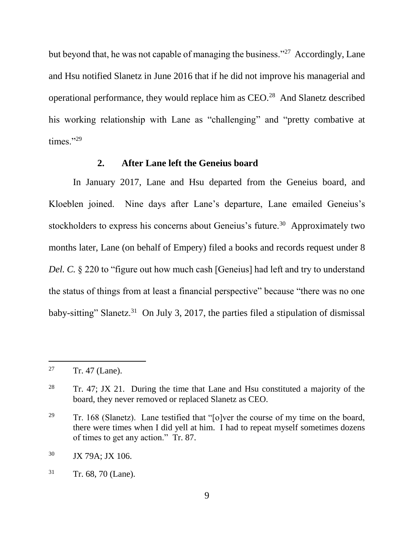but beyond that, he was not capable of managing the business."<sup>27</sup> Accordingly, Lane and Hsu notified Slanetz in June 2016 that if he did not improve his managerial and operational performance, they would replace him as  $CEO.<sup>28</sup>$  And Slanetz described his working relationship with Lane as "challenging" and "pretty combative at times."29

## **2. After Lane left the Geneius board**

In January 2017, Lane and Hsu departed from the Geneius board, and Kloeblen joined. Nine days after Lane's departure, Lane emailed Geneius's stockholders to express his concerns about Geneius's future.<sup>30</sup> Approximately two months later, Lane (on behalf of Empery) filed a books and records request under 8 *Del. C.* § 220 to "figure out how much cash [Geneius] had left and try to understand the status of things from at least a financial perspective" because "there was no one baby-sitting" Slanetz.<sup>31</sup> On July 3, 2017, the parties filed a stipulation of dismissal

<sup>&</sup>lt;sup>27</sup> Tr. 47 (Lane).

<sup>&</sup>lt;sup>28</sup> Tr. 47; JX 21. During the time that Lane and Hsu constituted a majority of the board, they never removed or replaced Slanetz as CEO.

<sup>&</sup>lt;sup>29</sup> Tr. 168 (Slanetz). Lane testified that "[o]ver the course of my time on the board, there were times when I did yell at him. I had to repeat myself sometimes dozens of times to get any action." Tr. 87.

<sup>30</sup> JX 79A; JX 106.

 $31$  Tr. 68, 70 (Lane).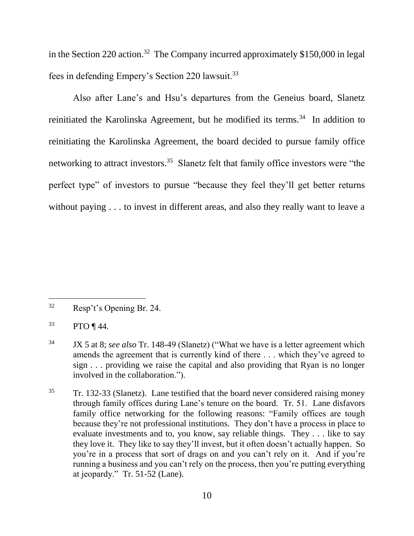in the Section 220 action.<sup>32</sup> The Company incurred approximately  $$150,000$  in legal fees in defending Empery's Section 220 lawsuit.<sup>33</sup>

Also after Lane's and Hsu's departures from the Geneius board, Slanetz reinitiated the Karolinska Agreement, but he modified its terms.<sup>34</sup> In addition to reinitiating the Karolinska Agreement, the board decided to pursue family office networking to attract investors.<sup>35</sup> Slanetz felt that family office investors were "the perfect type" of investors to pursue "because they feel they'll get better returns without paying . . . to invest in different areas, and also they really want to leave a

<sup>32</sup> Resp't's Opening Br. 24.

 $33$  PTO ¶ 44.

<sup>34</sup> JX 5 at 8; *see also* Tr. 148-49 (Slanetz) ("What we have is a letter agreement which amends the agreement that is currently kind of there . . . which they've agreed to sign . . . providing we raise the capital and also providing that Ryan is no longer involved in the collaboration.").

<sup>35</sup> Tr. 132-33 (Slanetz). Lane testified that the board never considered raising money through family offices during Lane's tenure on the board. Tr. 51. Lane disfavors family office networking for the following reasons: "Family offices are tough because they're not professional institutions. They don't have a process in place to evaluate investments and to, you know, say reliable things. They . . . like to say they love it. They like to say they'll invest, but it often doesn't actually happen. So you're in a process that sort of drags on and you can't rely on it. And if you're running a business and you can't rely on the process, then you're putting everything at jeopardy." Tr. 51-52 (Lane).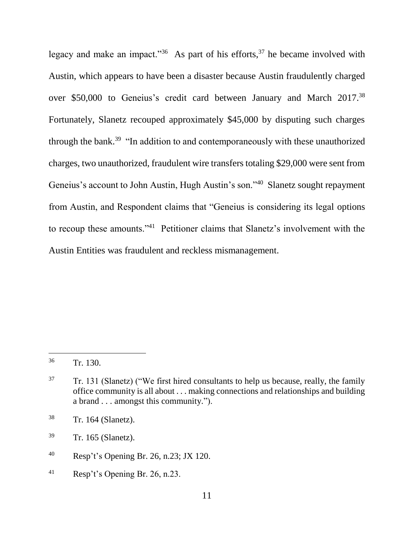legacy and make an impact."<sup>36</sup> As part of his efforts,  $37$  he became involved with Austin, which appears to have been a disaster because Austin fraudulently charged over \$50,000 to Geneius's credit card between January and March 2017.<sup>38</sup> Fortunately, Slanetz recouped approximately \$45,000 by disputing such charges through the bank.<sup>39</sup> "In addition to and contemporaneously with these unauthorized charges, two unauthorized, fraudulent wire transfers totaling \$29,000 were sent from Geneius's account to John Austin, Hugh Austin's son."<sup>40</sup> Slanetz sought repayment from Austin, and Respondent claims that "Geneius is considering its legal options to recoup these amounts."<sup>41</sup> Petitioner claims that Slanetz's involvement with the Austin Entities was fraudulent and reckless mismanagement.

- <sup>40</sup> Resp't's Opening Br. 26, n.23; JX 120.
- <sup>41</sup> Resp't's Opening Br. 26, n.23.

<sup>36</sup> Tr. 130.

 $37$  Tr. 131 (Slanetz) ("We first hired consultants to help us because, really, the family office community is all about . . . making connections and relationships and building a brand . . . amongst this community.").

<sup>38</sup> Tr. 164 (Slanetz).

<sup>39</sup> Tr. 165 (Slanetz).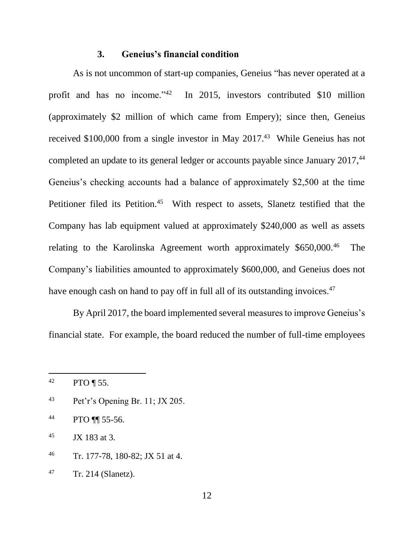#### **3. Geneius's financial condition**

As is not uncommon of start-up companies, Geneius "has never operated at a profit and has no income."<sup>42</sup> In 2015, investors contributed \$10 million (approximately \$2 million of which came from Empery); since then, Geneius received \$100,000 from a single investor in May 2017.<sup>43</sup> While Geneius has not completed an update to its general ledger or accounts payable since January 2017,<sup>44</sup> Geneius's checking accounts had a balance of approximately \$2,500 at the time Petitioner filed its Petition.<sup>45</sup> With respect to assets, Slanetz testified that the Company has lab equipment valued at approximately \$240,000 as well as assets relating to the Karolinska Agreement worth approximately \$650,000.<sup>46</sup> The Company's liabilities amounted to approximately \$600,000, and Geneius does not have enough cash on hand to pay off in full all of its outstanding invoices.<sup>47</sup>

By April 2017, the board implemented several measures to improve Geneius's financial state. For example, the board reduced the number of full-time employees

l

- 43 Pet'r's Opening Br. 11; JX 205.
- <sup>44</sup> PTO ¶¶ 55-56.

 $45$  JX 183 at 3.

<sup>46</sup> Tr. 177-78, 180-82; JX 51 at 4.

 $42$  PTO ¶ 55.

<sup>47</sup> Tr. 214 (Slanetz).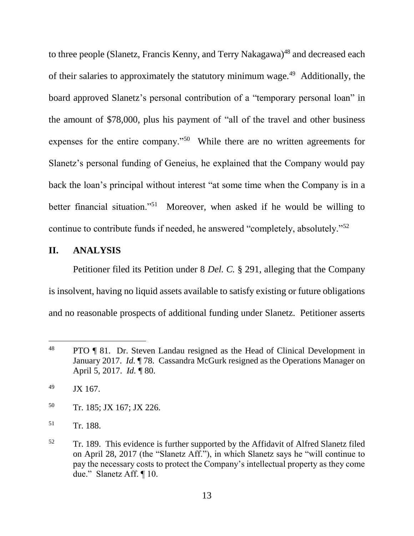to three people (Slanetz, Francis Kenny, and Terry Nakagawa)<sup>48</sup> and decreased each of their salaries to approximately the statutory minimum wage.<sup>49</sup> Additionally, the board approved Slanetz's personal contribution of a "temporary personal loan" in the amount of \$78,000, plus his payment of "all of the travel and other business expenses for the entire company."<sup>50</sup> While there are no written agreements for Slanetz's personal funding of Geneius, he explained that the Company would pay back the loan's principal without interest "at some time when the Company is in a better financial situation."<sup>51</sup> Moreover, when asked if he would be willing to continue to contribute funds if needed, he answered "completely, absolutely."<sup>52</sup>

# <span id="page-12-0"></span>**II. ANALYSIS**

Petitioner filed its Petition under 8 *Del. C.* § 291, alleging that the Company is insolvent, having no liquid assets available to satisfy existing or future obligations and no reasonable prospects of additional funding under Slanetz. Petitioner asserts

- <sup>50</sup> Tr. 185; JX 167; JX 226.
- <sup>51</sup> Tr. 188.

<sup>&</sup>lt;sup>48</sup> PTO ¶ 81. Dr. Steven Landau resigned as the Head of Clinical Development in January 2017. *Id.* ¶ 78. Cassandra McGurk resigned as the Operations Manager on April 5, 2017. *Id.* ¶ 80.

 $^{49}$  JX 167.

<sup>&</sup>lt;sup>52</sup> Tr. 189. This evidence is further supported by the Affidavit of Alfred Slanetz filed on April 28, 2017 (the "Slanetz Aff."), in which Slanetz says he "will continue to pay the necessary costs to protect the Company's intellectual property as they come due." Slanetz Aff. ¶ 10.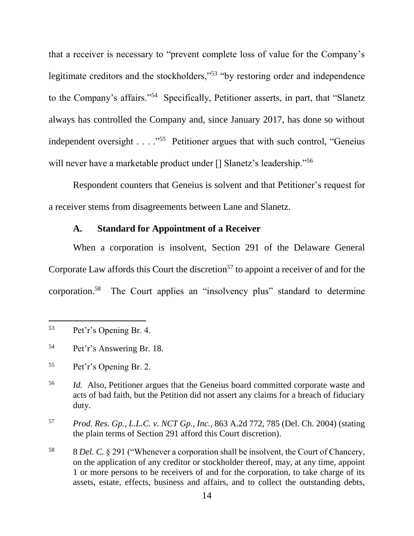that a receiver is necessary to "prevent complete loss of value for the Company's legitimate creditors and the stockholders,"<sup>53</sup> "by restoring order and independence to the Company's affairs."<sup>54</sup> Specifically, Petitioner asserts, in part, that "Slanetz always has controlled the Company and, since January 2017, has done so without independent oversight . . . . "<sup>55</sup> Petitioner argues that with such control, "Geneius will never have a marketable product under [] Slanetz's leadership."<sup>56</sup>

Respondent counters that Geneius is solvent and that Petitioner's request for a receiver stems from disagreements between Lane and Slanetz.

# **A. Standard for Appointment of a Receiver**

When a corporation is insolvent, Section 291 of the Delaware General Corporate Law affords this Court the discretion<sup>57</sup> to appoint a receiver of and for the corporation. 58 The Court applies an "insolvency plus" standard to determine

l

<sup>58</sup> 8 *Del. C.* § 291 ("Whenever a corporation shall be insolvent, the Court of Chancery, on the application of any creditor or stockholder thereof, may, at any time, appoint 1 or more persons to be receivers of and for the corporation, to take charge of its assets, estate, effects, business and affairs, and to collect the outstanding debts,

<sup>53</sup> Pet'r's Opening Br. 4.

<sup>54</sup> Pet'r's Answering Br. 18.

<sup>55</sup> Pet'r's Opening Br. 2.

<sup>56</sup> *Id.* Also, Petitioner argues that the Geneius board committed corporate waste and acts of bad faith, but the Petition did not assert any claims for a breach of fiduciary duty.

<sup>57</sup> *Prod. Res. Gp., L.L.C. v. NCT Gp., Inc.*, 863 A.2d 772, 785 (Del. Ch. 2004) (stating the plain terms of Section 291 afford this Court discretion).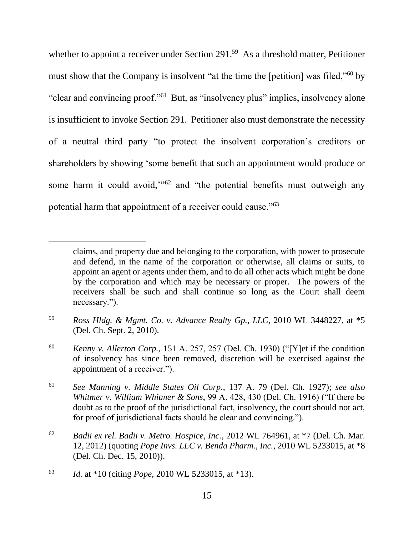whether to appoint a receiver under Section 291.<sup>59</sup> As a threshold matter, Petitioner must show that the Company is insolvent "at the time the [petition] was filed,"<sup>60</sup> by "clear and convincing proof."<sup>61</sup> But, as "insolvency plus" implies, insolvency alone is insufficient to invoke Section 291. Petitioner also must demonstrate the necessity of a neutral third party "to protect the insolvent corporation's creditors or shareholders by showing 'some benefit that such an appointment would produce or some harm it could avoid,"<sup>62</sup> and "the potential benefits must outweigh any potential harm that appointment of a receiver could cause."<sup>63</sup>

<sup>60</sup> *Kenny v. Allerton Corp.*, 151 A. 257, 257 (Del. Ch. 1930) ("[Y]et if the condition of insolvency has since been removed, discretion will be exercised against the appointment of a receiver.").

<sup>61</sup> *See Manning v. Middle States Oil Corp.*, 137 A. 79 (Del. Ch. 1927); *see also Whitmer v. William Whitmer & Sons*, 99 A. 428, 430 (Del. Ch. 1916) ("If there be doubt as to the proof of the jurisdictional fact, insolvency, the court should not act, for proof of jurisdictional facts should be clear and convincing.").

claims, and property due and belonging to the corporation, with power to prosecute and defend, in the name of the corporation or otherwise, all claims or suits, to appoint an agent or agents under them, and to do all other acts which might be done by the corporation and which may be necessary or proper. The powers of the receivers shall be such and shall continue so long as the Court shall deem necessary.").

<sup>59</sup> *Ross Hldg. & Mgmt. Co. v. Advance Realty Gp., LLC*, 2010 WL 3448227, at \*5 (Del. Ch. Sept. 2, 2010).

<sup>62</sup> *Badii ex rel. Badii v. Metro. Hospice, Inc.*, 2012 WL 764961, at \*7 (Del. Ch. Mar. 12, 2012) (quoting *Pope Invs. LLC v. Benda Pharm., Inc.*, 2010 WL 5233015, at \*8 (Del. Ch. Dec. 15, 2010)).

<sup>63</sup> *Id.* at \*10 (citing *Pope*, 2010 WL 5233015, at \*13).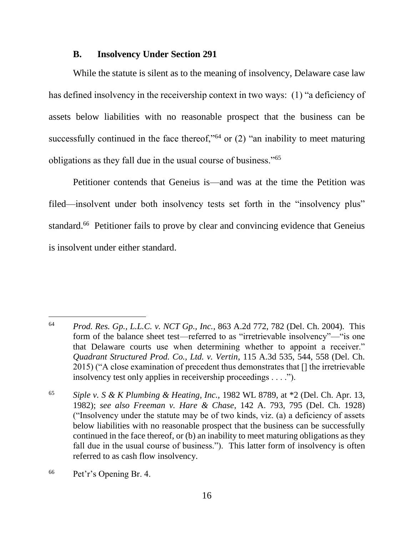## **B. Insolvency Under Section 291**

While the statute is silent as to the meaning of insolvency, Delaware case law has defined insolvency in the receivership context in two ways: (1) "a deficiency of assets below liabilities with no reasonable prospect that the business can be successfully continued in the face thereof,"<sup>64</sup> or  $(2)$  "an inability to meet maturing obligations as they fall due in the usual course of business."<sup>65</sup>

Petitioner contends that Geneius is—and was at the time the Petition was filed—insolvent under both insolvency tests set forth in the "insolvency plus" standard.<sup>66</sup> Petitioner fails to prove by clear and convincing evidence that Geneius is insolvent under either standard.

<sup>64</sup> *Prod. Res. Gp., L.L.C. v. NCT Gp., Inc.*, 863 A.2d 772, 782 (Del. Ch. 2004). This form of the balance sheet test—referred to as "irretrievable insolvency"—"is one that Delaware courts use when determining whether to appoint a receiver." *Quadrant Structured Prod. Co., Ltd. v. Vertin*, 115 A.3d 535, 544, 558 (Del. Ch. 2015) ("A close examination of precedent thus demonstrates that [] the irretrievable insolvency test only applies in receivership proceedings . . . .").

<sup>65</sup> *Siple v. S & K Plumbing & Heating, Inc.,* 1982 WL 8789, at \*2 (Del. Ch. Apr. 13, 1982); *see also Freeman v. Hare & Chase*, 142 A. 793, 795 (Del. Ch. 1928) ("Insolvency under the statute may be of two kinds, viz. (a) a deficiency of assets below liabilities with no reasonable prospect that the business can be successfully continued in the face thereof, or (b) an inability to meet maturing obligations as they fall due in the usual course of business."). This latter form of insolvency is often referred to as cash flow insolvency.

<sup>66</sup> Pet'r's Opening Br. 4.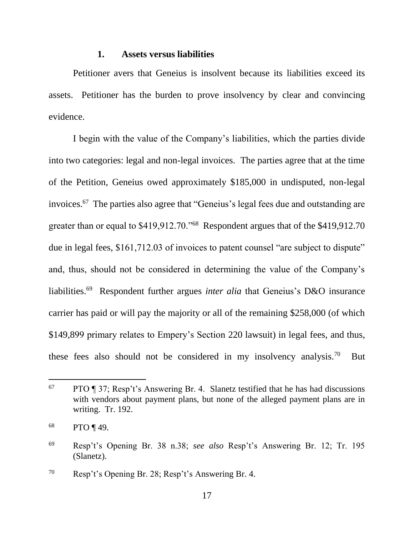#### **1. Assets versus liabilities**

Petitioner avers that Geneius is insolvent because its liabilities exceed its assets. Petitioner has the burden to prove insolvency by clear and convincing evidence.

I begin with the value of the Company's liabilities, which the parties divide into two categories: legal and non-legal invoices. The parties agree that at the time of the Petition, Geneius owed approximately \$185,000 in undisputed, non-legal invoices.<sup>67</sup> The parties also agree that "Geneius's legal fees due and outstanding are greater than or equal to \$419,912.70."<sup>68</sup> Respondent argues that of the \$419,912.70 due in legal fees, \$161,712.03 of invoices to patent counsel "are subject to dispute" and, thus, should not be considered in determining the value of the Company's liabilities.<sup>69</sup> Respondent further argues *inter alia* that Geneius's D&O insurance carrier has paid or will pay the majority or all of the remaining \$258,000 (of which \$149,899 primary relates to Empery's Section 220 lawsuit) in legal fees, and thus, these fees also should not be considered in my insolvency analysis.<sup>70</sup> But

 $67$  PTO ¶ 37; Resp't's Answering Br. 4. Slanetz testified that he has had discussions with vendors about payment plans, but none of the alleged payment plans are in writing. Tr. 192.

<sup>68</sup> PTO ¶ 49.

<sup>69</sup> Resp't's Opening Br. 38 n.38; *see also* Resp't's Answering Br. 12; Tr. 195 (Slanetz).

<sup>70</sup> Resp't's Opening Br. 28; Resp't's Answering Br. 4.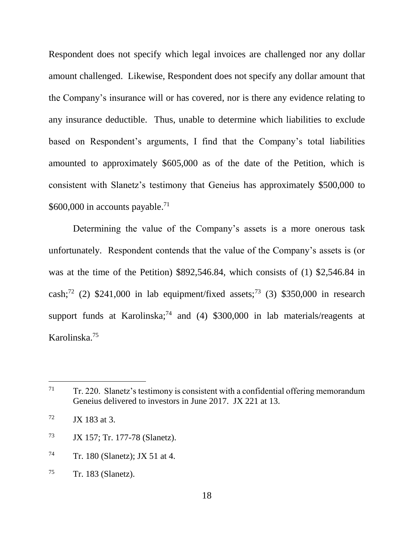Respondent does not specify which legal invoices are challenged nor any dollar amount challenged. Likewise, Respondent does not specify any dollar amount that the Company's insurance will or has covered, nor is there any evidence relating to any insurance deductible. Thus, unable to determine which liabilities to exclude based on Respondent's arguments, I find that the Company's total liabilities amounted to approximately \$605,000 as of the date of the Petition, which is consistent with Slanetz's testimony that Geneius has approximately \$500,000 to \$600,000 in accounts payable.<sup>71</sup>

Determining the value of the Company's assets is a more onerous task unfortunately. Respondent contends that the value of the Company's assets is (or was at the time of the Petition) \$892,546.84, which consists of (1) \$2,546.84 in cash;<sup>72</sup> (2) \$241,000 in lab equipment/fixed assets;<sup>73</sup> (3) \$350,000 in research support funds at Karolinska;<sup>74</sup> and (4) \$300,000 in lab materials/reagents at Karolinska.<sup>75</sup>

- <sup>73</sup> JX 157; Tr. 177-78 (Slanetz).
- $74$  Tr. 180 (Slanetz); JX 51 at 4.

 $71$  Tr. 220. Slanetz's testimony is consistent with a confidential offering memorandum Geneius delivered to investors in June 2017. JX 221 at 13.

 $72$  JX 183 at 3.

 $75$  Tr. 183 (Slanetz).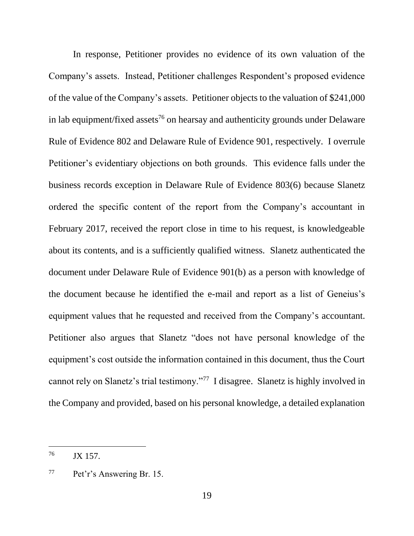In response, Petitioner provides no evidence of its own valuation of the Company's assets. Instead, Petitioner challenges Respondent's proposed evidence of the value of the Company's assets. Petitioner objects to the valuation of \$241,000 in lab equipment/fixed assets <sup>76</sup> on hearsay and authenticity grounds under Delaware Rule of Evidence 802 and Delaware Rule of Evidence 901, respectively. I overrule Petitioner's evidentiary objections on both grounds. This evidence falls under the business records exception in Delaware Rule of Evidence 803(6) because Slanetz ordered the specific content of the report from the Company's accountant in February 2017, received the report close in time to his request, is knowledgeable about its contents, and is a sufficiently qualified witness. Slanetz authenticated the document under Delaware Rule of Evidence 901(b) as a person with knowledge of the document because he identified the e-mail and report as a list of Geneius's equipment values that he requested and received from the Company's accountant. Petitioner also argues that Slanetz "does not have personal knowledge of the equipment's cost outside the information contained in this document, thus the Court cannot rely on Slanetz's trial testimony."<sup>77</sup> I disagree. Slanetz is highly involved in the Company and provided, based on his personal knowledge, a detailed explanation

<sup>76</sup> JX 157.

<sup>77</sup> Pet'r's Answering Br. 15.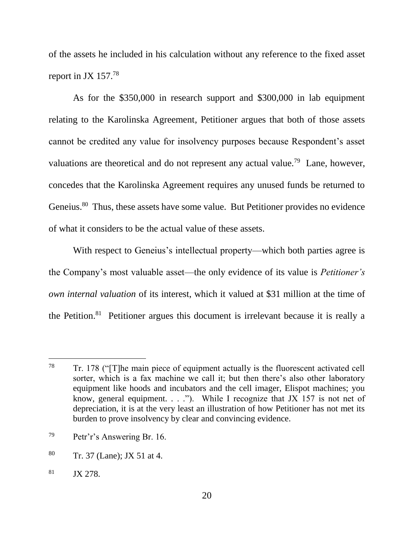of the assets he included in his calculation without any reference to the fixed asset report in JX  $157.^{78}$ 

As for the \$350,000 in research support and \$300,000 in lab equipment relating to the Karolinska Agreement, Petitioner argues that both of those assets cannot be credited any value for insolvency purposes because Respondent's asset valuations are theoretical and do not represent any actual value.<sup>79</sup> Lane, however, concedes that the Karolinska Agreement requires any unused funds be returned to Geneius.<sup>80</sup> Thus, these assets have some value. But Petitioner provides no evidence of what it considers to be the actual value of these assets.

With respect to Geneius's intellectual property—which both parties agree is the Company's most valuable asset—the only evidence of its value is *Petitioner's own internal valuation* of its interest, which it valued at \$31 million at the time of the Petition.<sup>81</sup> Petitioner argues this document is irrelevant because it is really a

 $78$  Tr. 178 ("The main piece of equipment actually is the fluorescent activated cell sorter, which is a fax machine we call it; but then there's also other laboratory equipment like hoods and incubators and the cell imager, Elispot machines; you know, general equipment.  $\ldots$ "). While I recognize that JX 157 is not net of depreciation, it is at the very least an illustration of how Petitioner has not met its burden to prove insolvency by clear and convincing evidence.

<sup>79</sup> Petr'r's Answering Br. 16.

 $80$  Tr. 37 (Lane); JX 51 at 4.

<sup>81</sup> JX 278.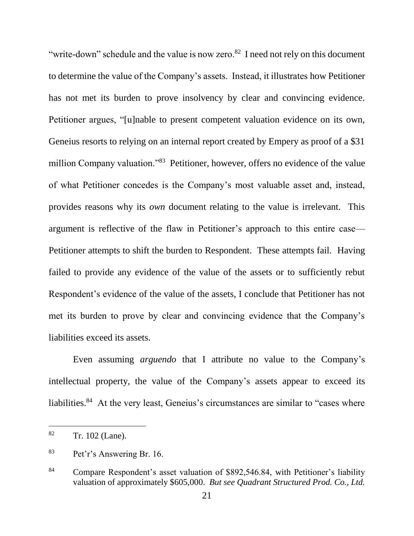"write-down" schedule and the value is now zero.<sup>82</sup> I need not rely on this document to determine the value of the Company's assets. Instead, it illustrates how Petitioner has not met its burden to prove insolvency by clear and convincing evidence. Petitioner argues, "[u]nable to present competent valuation evidence on its own, Geneius resorts to relying on an internal report created by Empery as proof of a \$31 million Company valuation."<sup>83</sup> Petitioner, however, offers no evidence of the value of what Petitioner concedes is the Company's most valuable asset and, instead, provides reasons why its *own* document relating to the value is irrelevant. This argument is reflective of the flaw in Petitioner's approach to this entire case— Petitioner attempts to shift the burden to Respondent. These attempts fail. Having failed to provide any evidence of the value of the assets or to sufficiently rebut Respondent's evidence of the value of the assets, I conclude that Petitioner has not met its burden to prove by clear and convincing evidence that the Company's liabilities exceed its assets.

Even assuming *arguendo* that I attribute no value to the Company's intellectual property, the value of the Company's assets appear to exceed its liabilities.<sup>84</sup> At the very least, Geneius's circumstances are similar to "cases where

<sup>82</sup> Tr. 102 (Lane).

<sup>83</sup> Pet'r's Answering Br. 16.

<sup>84</sup> Compare Respondent's asset valuation of \$892,546.84, with Petitioner's liability valuation of approximately \$605,000. *But see Quadrant Structured Prod. Co., Ltd.*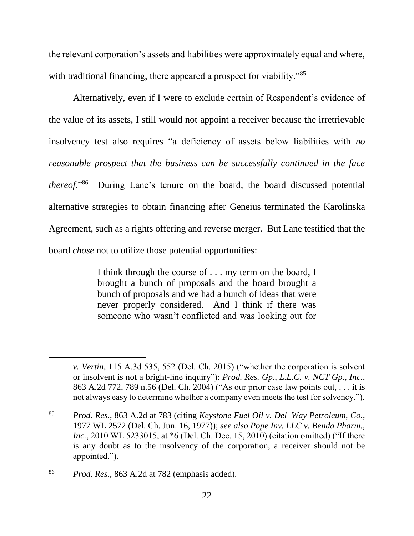the relevant corporation's assets and liabilities were approximately equal and where, with traditional financing, there appeared a prospect for viability.<sup>85</sup>

Alternatively, even if I were to exclude certain of Respondent's evidence of the value of its assets, I still would not appoint a receiver because the irretrievable insolvency test also requires "a deficiency of assets below liabilities with *no reasonable prospect that the business can be successfully continued in the face thereof*." 86 During Lane's tenure on the board, the board discussed potential alternative strategies to obtain financing after Geneius terminated the Karolinska Agreement, such as a rights offering and reverse merger. But Lane testified that the board *chose* not to utilize those potential opportunities:

> I think through the course of . . . my term on the board, I brought a bunch of proposals and the board brought a bunch of proposals and we had a bunch of ideas that were never properly considered. And I think if there was someone who wasn't conflicted and was looking out for

*v. Vertin*, 115 A.3d 535, 552 (Del. Ch. 2015) ("whether the corporation is solvent or insolvent is not a bright-line inquiry"); *Prod. Res. Gp., L.L.C. v. NCT Gp., Inc.*, 863 A.2d 772, 789 n.56 (Del. Ch. 2004) ("As our prior case law points out, . . . it is not always easy to determine whether a company even meets the test for solvency.").

<sup>85</sup> *Prod. Res.*, 863 A.2d at 783 (citing *Keystone Fuel Oil v. Del–Way Petroleum, Co.*, 1977 WL 2572 (Del. Ch. Jun. 16, 1977)); *see also Pope Inv. LLC v. Benda Pharm., Inc.*, 2010 WL 5233015, at \*6 (Del. Ch. Dec. 15, 2010) (citation omitted) ("If there is any doubt as to the insolvency of the corporation, a receiver should not be appointed.").

<sup>86</sup> *Prod. Res.*, 863 A.2d at 782 (emphasis added).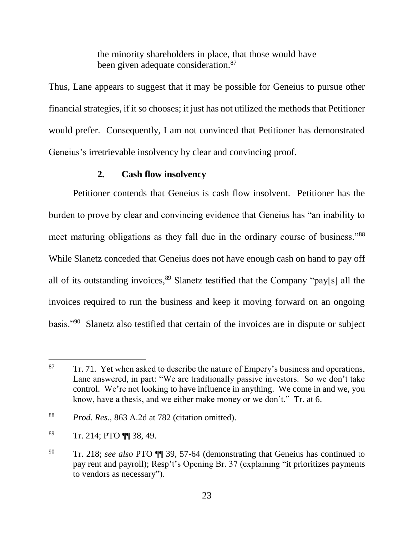the minority shareholders in place, that those would have been given adequate consideration.<sup>87</sup>

Thus, Lane appears to suggest that it may be possible for Geneius to pursue other financial strategies, if it so chooses; it just has not utilized the methods that Petitioner would prefer. Consequently, I am not convinced that Petitioner has demonstrated Geneius's irretrievable insolvency by clear and convincing proof.

## **2. Cash flow insolvency**

Petitioner contends that Geneius is cash flow insolvent. Petitioner has the burden to prove by clear and convincing evidence that Geneius has "an inability to meet maturing obligations as they fall due in the ordinary course of business."<sup>88</sup> While Slanetz conceded that Geneius does not have enough cash on hand to pay off all of its outstanding invoices,  $89$  Slanetz testified that the Company "pay[s] all the invoices required to run the business and keep it moving forward on an ongoing basis."<sup>90</sup> Slanetz also testified that certain of the invoices are in dispute or subject

 $87$  Tr. 71. Yet when asked to describe the nature of Empery's business and operations, Lane answered, in part: "We are traditionally passive investors. So we don't take control. We're not looking to have influence in anything. We come in and we, you know, have a thesis, and we either make money or we don't." Tr. at 6.

<sup>88</sup> *Prod. Res.*, 863 A.2d at 782 (citation omitted).

 $89$  Tr. 214; PTO  $\P$  38, 49.

<sup>90</sup> Tr. 218; *see also* PTO ¶¶ 39, 57-64 (demonstrating that Geneius has continued to pay rent and payroll); Resp't's Opening Br. 37 (explaining "it prioritizes payments to vendors as necessary").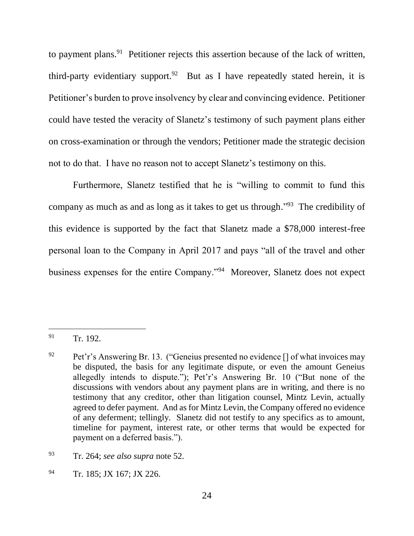to payment plans.<sup>91</sup> Petitioner rejects this assertion because of the lack of written, third-party evidentiary support.<sup>92</sup> But as I have repeatedly stated herein, it is Petitioner's burden to prove insolvency by clear and convincing evidence. Petitioner could have tested the veracity of Slanetz's testimony of such payment plans either on cross-examination or through the vendors; Petitioner made the strategic decision not to do that. I have no reason not to accept Slanetz's testimony on this.

Furthermore, Slanetz testified that he is "willing to commit to fund this company as much as and as long as it takes to get us through."<sup>93</sup> The credibility of this evidence is supported by the fact that Slanetz made a \$78,000 interest-free personal loan to the Company in April 2017 and pays "all of the travel and other business expenses for the entire Company."<sup>94</sup> Moreover, Slanetz does not expect

<sup>&</sup>lt;sup>91</sup> Tr. 192.

<sup>&</sup>lt;sup>92</sup> Pet'r's Answering Br. 13. ("Geneius presented no evidence  $\lceil \rceil$  of what invoices may be disputed, the basis for any legitimate dispute, or even the amount Geneius allegedly intends to dispute."); Pet'r's Answering Br. 10 ("But none of the discussions with vendors about any payment plans are in writing, and there is no testimony that any creditor, other than litigation counsel, Mintz Levin, actually agreed to defer payment. And as for Mintz Levin, the Company offered no evidence of any deferment; tellingly. Slanetz did not testify to any specifics as to amount, timeline for payment, interest rate, or other terms that would be expected for payment on a deferred basis.").

<sup>93</sup> Tr. 264; *see also supra* note [52.](#page-12-0)

<sup>&</sup>lt;sup>94</sup> Tr. 185; JX 167; JX 226.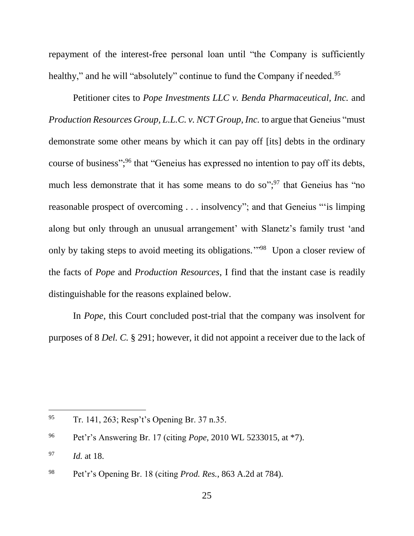repayment of the interest-free personal loan until "the Company is sufficiently healthy," and he will "absolutely" continue to fund the Company if needed.<sup>95</sup>

Petitioner cites to *Pope Investments LLC v. Benda Pharmaceutical, Inc.* and *Production Resources Group, L.L.C. v. NCT Group, Inc. to argue that Geneius "must*" demonstrate some other means by which it can pay off [its] debts in the ordinary course of business";<sup>96</sup> that "Geneius has expressed no intention to pay off its debts, much less demonstrate that it has some means to do so";  $97$  that Geneius has "no reasonable prospect of overcoming . . . insolvency"; and that Geneius "'is limping along but only through an unusual arrangement' with Slanetz's family trust 'and only by taking steps to avoid meeting its obligations."<sup>98</sup> Upon a closer review of the facts of *Pope* and *Production Resources*, I find that the instant case is readily distinguishable for the reasons explained below.

In *Pope*, this Court concluded post-trial that the company was insolvent for purposes of 8 *Del. C.* § 291; however, it did not appoint a receiver due to the lack of

<sup>95</sup> Tr. 141, 263; Resp't's Opening Br. 37 n.35.

<sup>96</sup> Pet'r's Answering Br. 17 (citing *Pope*, 2010 WL 5233015, at \*7).

<sup>97</sup> *Id.* at 18.

<sup>98</sup> Pet'r's Opening Br. 18 (citing *Prod. Res.*, 863 A.2d at 784).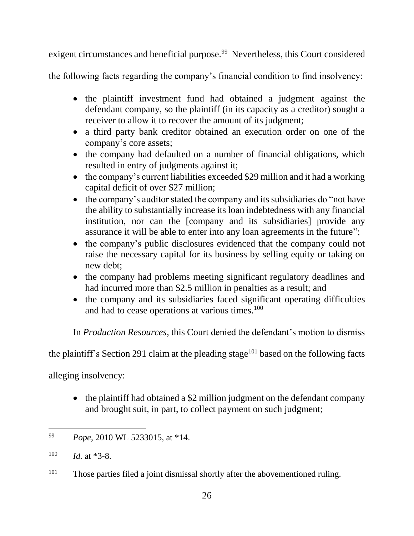exigent circumstances and beneficial purpose.<sup>99</sup> Nevertheless, this Court considered

the following facts regarding the company's financial condition to find insolvency:

- the plaintiff investment fund had obtained a judgment against the defendant company, so the plaintiff (in its capacity as a creditor) sought a receiver to allow it to recover the amount of its judgment;
- a third party bank creditor obtained an execution order on one of the company's core assets;
- the company had defaulted on a number of financial obligations, which resulted in entry of judgments against it;
- the company's current liabilities exceeded \$29 million and it had a working capital deficit of over \$27 million;
- the company's auditor stated the company and its subsidiaries do "not have the ability to substantially increase its loan indebtedness with any financial institution, nor can the [company and its subsidiaries] provide any assurance it will be able to enter into any loan agreements in the future";
- the company's public disclosures evidenced that the company could not raise the necessary capital for its business by selling equity or taking on new debt;
- the company had problems meeting significant regulatory deadlines and had incurred more than \$2.5 million in penalties as a result; and
- the company and its subsidiaries faced significant operating difficulties and had to cease operations at various times.<sup>100</sup>

In *Production Resources*, this Court denied the defendant's motion to dismiss

the plaintiff's Section 291 claim at the pleading stage<sup>101</sup> based on the following facts

alleging insolvency:

• the plaintiff had obtained a \$2 million judgment on the defendant company and brought suit, in part, to collect payment on such judgment;

<sup>99</sup> *Pope*, 2010 WL 5233015, at \*14.

 $100$  *Id.* at \*3-8.

 $101$  Those parties filed a joint dismissal shortly after the abovementioned ruling.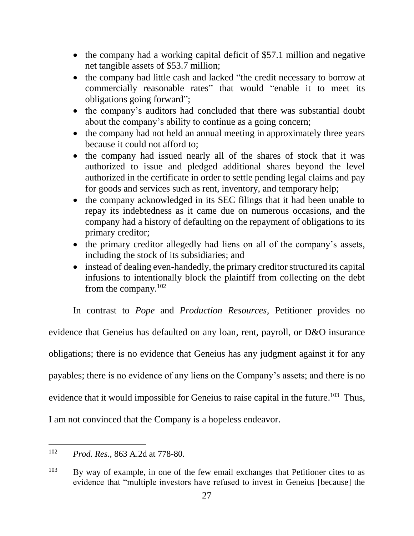- $\bullet$  the company had a working capital deficit of \$57.1 million and negative net tangible assets of \$53.7 million;
- the company had little cash and lacked "the credit necessary to borrow at commercially reasonable rates" that would "enable it to meet its obligations going forward";
- the company's auditors had concluded that there was substantial doubt about the company's ability to continue as a going concern;
- the company had not held an annual meeting in approximately three years because it could not afford to;
- the company had issued nearly all of the shares of stock that it was authorized to issue and pledged additional shares beyond the level authorized in the certificate in order to settle pending legal claims and pay for goods and services such as rent, inventory, and temporary help;
- the company acknowledged in its SEC filings that it had been unable to repay its indebtedness as it came due on numerous occasions, and the company had a history of defaulting on the repayment of obligations to its primary creditor;
- the primary creditor allegedly had liens on all of the company's assets, including the stock of its subsidiaries; and
- instead of dealing even-handedly, the primary creditor structured its capital infusions to intentionally block the plaintiff from collecting on the debt from the company.<sup>102</sup>

In contrast to *Pope* and *Production Resources*, Petitioner provides no evidence that Geneius has defaulted on any loan, rent, payroll, or D&O insurance obligations; there is no evidence that Geneius has any judgment against it for any payables; there is no evidence of any liens on the Company's assets; and there is no evidence that it would impossible for Geneius to raise capital in the future.<sup>103</sup> Thus, I am not convinced that the Company is a hopeless endeavor.

<sup>102</sup> *Prod. Res.*, 863 A.2d at 778-80.

<sup>&</sup>lt;sup>103</sup> By way of example, in one of the few email exchanges that Petitioner cites to as evidence that "multiple investors have refused to invest in Geneius [because] the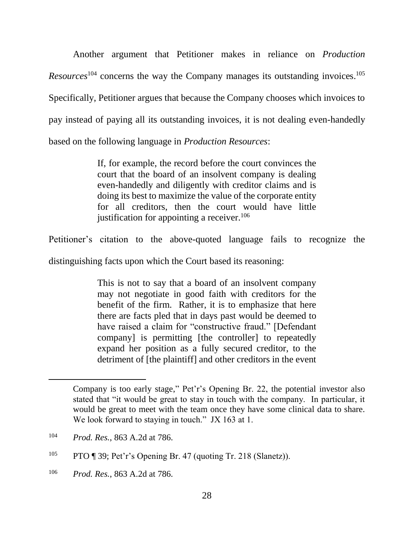Another argument that Petitioner makes in reliance on *Production Resources*<sup>104</sup> concerns the way the Company manages its outstanding invoices. 105 Specifically, Petitioner argues that because the Company chooses which invoices to pay instead of paying all its outstanding invoices, it is not dealing even-handedly based on the following language in *Production Resources*:

> If, for example, the record before the court convinces the court that the board of an insolvent company is dealing even-handedly and diligently with creditor claims and is doing its best to maximize the value of the corporate entity for all creditors, then the court would have little justification for appointing a receiver.<sup>106</sup>

Petitioner's citation to the above-quoted language fails to recognize the

distinguishing facts upon which the Court based its reasoning:

This is not to say that a board of an insolvent company may not negotiate in good faith with creditors for the benefit of the firm. Rather, it is to emphasize that here there are facts pled that in days past would be deemed to have raised a claim for "constructive fraud." [Defendant company] is permitting [the controller] to repeatedly expand her position as a fully secured creditor, to the detriment of [the plaintiff] and other creditors in the event

 $\overline{a}$ 

<sup>106</sup> *Prod. Res.*, 863 A.2d at 786.

Company is too early stage," Pet'r's Opening Br. 22, the potential investor also stated that "it would be great to stay in touch with the company. In particular, it would be great to meet with the team once they have some clinical data to share. We look forward to staying in touch." JX 163 at 1.

<sup>104</sup> *Prod. Res.*, 863 A.2d at 786.

<sup>&</sup>lt;sup>105</sup> PTO ¶ 39; Pet'r's Opening Br. 47 (quoting Tr. 218 (Slanetz)).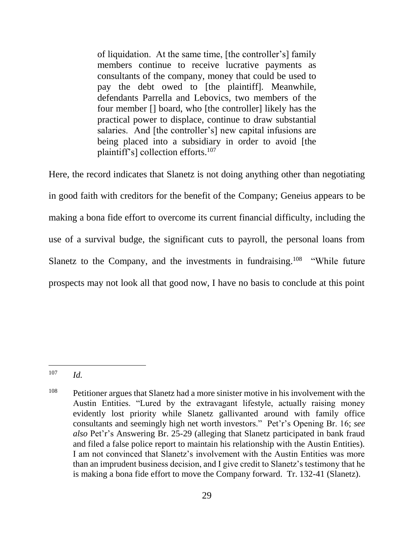of liquidation. At the same time, [the controller's] family members continue to receive lucrative payments as consultants of the company, money that could be used to pay the debt owed to [the plaintiff]. Meanwhile, defendants Parrella and Lebovics, two members of the four member [] board, who [the controller] likely has the practical power to displace, continue to draw substantial salaries. And [the controller's] new capital infusions are being placed into a subsidiary in order to avoid [the plaintiff's] collection efforts.<sup>107</sup>

Here, the record indicates that Slanetz is not doing anything other than negotiating in good faith with creditors for the benefit of the Company; Geneius appears to be making a bona fide effort to overcome its current financial difficulty, including the use of a survival budge, the significant cuts to payroll, the personal loans from Slanetz to the Company, and the investments in fundraising.<sup>108</sup> "While future prospects may not look all that good now, I have no basis to conclude at this point

 $\overline{a}$ <sup>107</sup> *Id.*

 $108$  Petitioner argues that Slanetz had a more sinister motive in his involvement with the Austin Entities. "Lured by the extravagant lifestyle, actually raising money evidently lost priority while Slanetz gallivanted around with family office consultants and seemingly high net worth investors." Pet'r's Opening Br. 16; *see also* Pet'r's Answering Br. 25-29 (alleging that Slanetz participated in bank fraud and filed a false police report to maintain his relationship with the Austin Entities). I am not convinced that Slanetz's involvement with the Austin Entities was more than an imprudent business decision, and I give credit to Slanetz's testimony that he is making a bona fide effort to move the Company forward. Tr. 132-41 (Slanetz).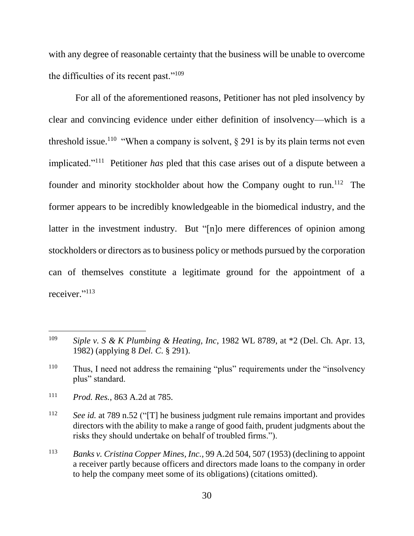with any degree of reasonable certainty that the business will be unable to overcome the difficulties of its recent past." $109$ 

For all of the aforementioned reasons, Petitioner has not pled insolvency by clear and convincing evidence under either definition of insolvency—which is a threshold issue.<sup>110</sup> "When a company is solvent,  $\S 291$  is by its plain terms not even implicated."<sup>111</sup> Petitioner *has* pled that this case arises out of a dispute between a founder and minority stockholder about how the Company ought to run.<sup>112</sup> The former appears to be incredibly knowledgeable in the biomedical industry, and the latter in the investment industry. But "[n]o mere differences of opinion among stockholders or directors as to business policy or methods pursued by the corporation can of themselves constitute a legitimate ground for the appointment of a receiver."<sup>113</sup>

<sup>109</sup> *Siple v. S & K Plumbing & Heating, Inc*, 1982 WL 8789, at \*2 (Del. Ch. Apr. 13, 1982) (applying 8 *Del. C*. § 291).

<sup>110</sup> Thus, I need not address the remaining "plus" requirements under the "insolvency plus" standard.

<sup>111</sup> *Prod. Res.*, 863 A.2d at 785.

<sup>112</sup> *See id.* at 789 n.52 ("[T] he business judgment rule remains important and provides directors with the ability to make a range of good faith, prudent judgments about the risks they should undertake on behalf of troubled firms.").

<sup>113</sup> *Banks v. Cristina Copper Mines, Inc.*, 99 A.2d 504, 507 (1953) (declining to appoint a receiver partly because officers and directors made loans to the company in order to help the company meet some of its obligations) (citations omitted).